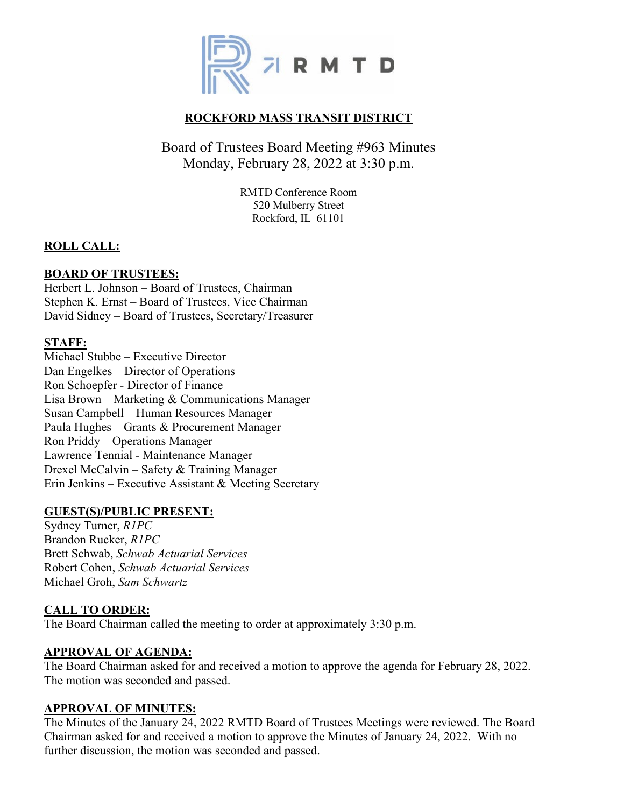

# **ROCKFORD MASS TRANSIT DISTRICT**

# Board of Trustees Board Meeting #963 Minutes Monday, February 28, 2022 at 3:30 p.m.

RMTD Conference Room 520 Mulberry Street Rockford, IL 61101

## **ROLL CALL:**

#### **BOARD OF TRUSTEES:**

Herbert L. Johnson – Board of Trustees, Chairman Stephen K. Ernst – Board of Trustees, Vice Chairman David Sidney – Board of Trustees, Secretary/Treasurer

#### **STAFF:**

Michael Stubbe – Executive Director Dan Engelkes – Director of Operations Ron Schoepfer - Director of Finance Lisa Brown – Marketing & Communications Manager Susan Campbell – Human Resources Manager Paula Hughes – Grants & Procurement Manager Ron Priddy – Operations Manager Lawrence Tennial - Maintenance Manager Drexel McCalvin – Safety & Training Manager Erin Jenkins – Executive Assistant & Meeting Secretary

#### **GUEST(S)/PUBLIC PRESENT:**

Sydney Turner, *R1PC* Brandon Rucker, *R1PC* Brett Schwab, *Schwab Actuarial Services* Robert Cohen, *Schwab Actuarial Services* Michael Groh, *Sam Schwartz*

## **CALL TO ORDER:**

The Board Chairman called the meeting to order at approximately 3:30 p.m.

#### **APPROVAL OF AGENDA:**

The Board Chairman asked for and received a motion to approve the agenda for February 28, 2022. The motion was seconded and passed.

#### **APPROVAL OF MINUTES:**

The Minutes of the January 24, 2022 RMTD Board of Trustees Meetings were reviewed. The Board Chairman asked for and received a motion to approve the Minutes of January 24, 2022. With no further discussion, the motion was seconded and passed.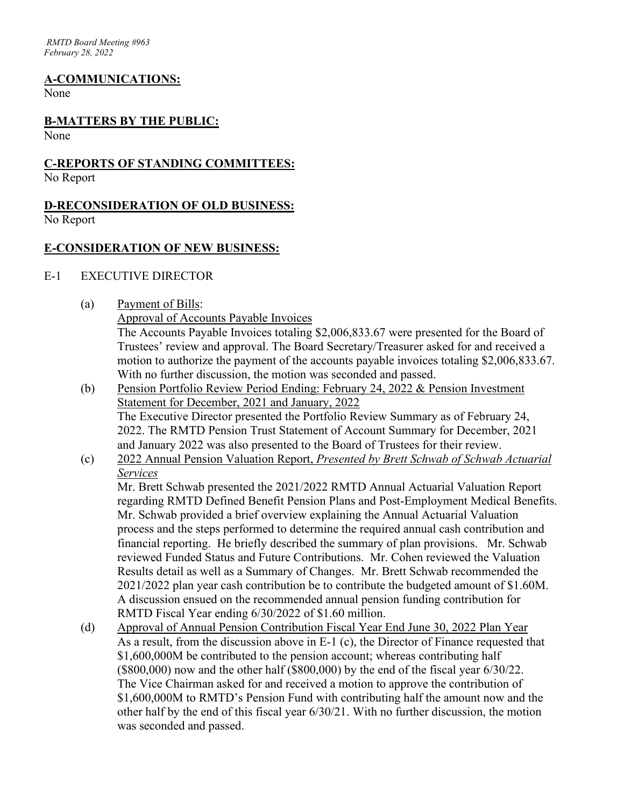#### **A-COMMUNICATIONS:**

None

# **B-MATTERS BY THE PUBLIC:**

None

#### **C-REPORTS OF STANDING COMMITTEES:**

No Report

#### **D-RECONSIDERATION OF OLD BUSINESS:** No Report

#### **E-CONSIDERATION OF NEW BUSINESS:**

#### E-1 EXECUTIVE DIRECTOR

(a) Payment of Bills:

Approval of Accounts Payable Invoices

The Accounts Payable Invoices totaling \$2,006,833.67 were presented for the Board of Trustees' review and approval. The Board Secretary/Treasurer asked for and received a motion to authorize the payment of the accounts payable invoices totaling \$2,006,833.67. With no further discussion, the motion was seconded and passed.

- (b) Pension Portfolio Review Period Ending: February 24, 2022 & Pension Investment Statement for December, 2021 and January, 2022 The Executive Director presented the Portfolio Review Summary as of February 24, 2022. The RMTD Pension Trust Statement of Account Summary for December, 2021 and January 2022 was also presented to the Board of Trustees for their review.
- (c) 2022 Annual Pension Valuation Report, *Presented by Brett Schwab of Schwab Actuarial Services*

Mr. Brett Schwab presented the 2021/2022 RMTD Annual Actuarial Valuation Report regarding RMTD Defined Benefit Pension Plans and Post-Employment Medical Benefits. Mr. Schwab provided a brief overview explaining the Annual Actuarial Valuation process and the steps performed to determine the required annual cash contribution and financial reporting. He briefly described the summary of plan provisions. Mr. Schwab reviewed Funded Status and Future Contributions. Mr. Cohen reviewed the Valuation Results detail as well as a Summary of Changes. Mr. Brett Schwab recommended the 2021/2022 plan year cash contribution be to contribute the budgeted amount of \$1.60M. A discussion ensued on the recommended annual pension funding contribution for RMTD Fiscal Year ending 6/30/2022 of \$1.60 million.

(d) Approval of Annual Pension Contribution Fiscal Year End June 30, 2022 Plan Year As a result, from the discussion above in E-1 (c), the Director of Finance requested that \$1,600,000M be contributed to the pension account; whereas contributing half (\$800,000) now and the other half (\$800,000) by the end of the fiscal year 6/30/22. The Vice Chairman asked for and received a motion to approve the contribution of \$1,600,000M to RMTD's Pension Fund with contributing half the amount now and the other half by the end of this fiscal year 6/30/21. With no further discussion, the motion was seconded and passed.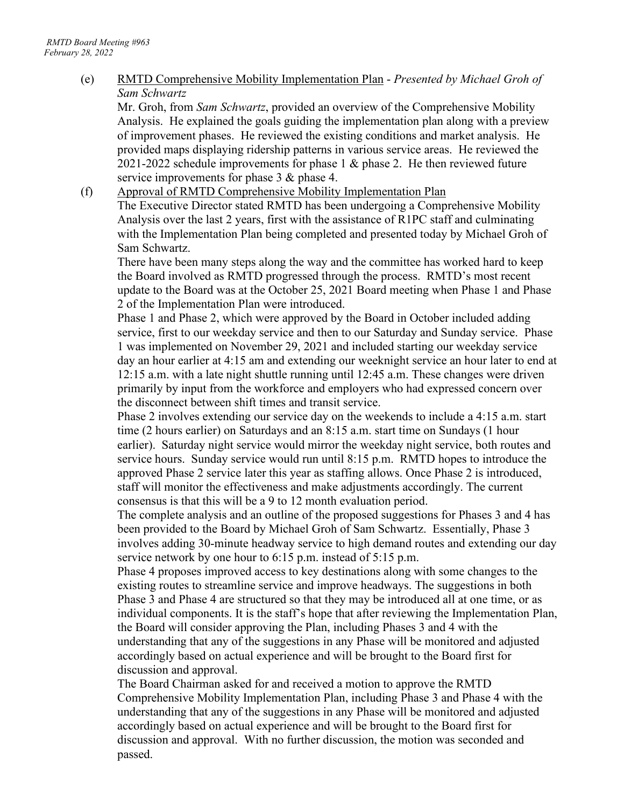(e) RMTD Comprehensive Mobility Implementation Plan - *Presented by Michael Groh of Sam Schwartz*

Mr. Groh, from *Sam Schwartz*, provided an overview of the Comprehensive Mobility Analysis. He explained the goals guiding the implementation plan along with a preview of improvement phases. He reviewed the existing conditions and market analysis. He provided maps displaying ridership patterns in various service areas. He reviewed the 2021-2022 schedule improvements for phase 1 & phase 2. He then reviewed future service improvements for phase 3 & phase 4.

(f) Approval of RMTD Comprehensive Mobility Implementation Plan The Executive Director stated RMTD has been undergoing a Comprehensive Mobility Analysis over the last 2 years, first with the assistance of R1PC staff and culminating with the Implementation Plan being completed and presented today by Michael Groh of Sam Schwartz.

There have been many steps along the way and the committee has worked hard to keep the Board involved as RMTD progressed through the process. RMTD's most recent update to the Board was at the October 25, 2021 Board meeting when Phase 1 and Phase 2 of the Implementation Plan were introduced.

Phase 1 and Phase 2, which were approved by the Board in October included adding service, first to our weekday service and then to our Saturday and Sunday service. Phase 1 was implemented on November 29, 2021 and included starting our weekday service day an hour earlier at 4:15 am and extending our weeknight service an hour later to end at 12:15 a.m. with a late night shuttle running until 12:45 a.m. These changes were driven primarily by input from the workforce and employers who had expressed concern over the disconnect between shift times and transit service.

Phase 2 involves extending our service day on the weekends to include a 4:15 a.m. start time (2 hours earlier) on Saturdays and an 8:15 a.m. start time on Sundays (1 hour earlier). Saturday night service would mirror the weekday night service, both routes and service hours. Sunday service would run until 8:15 p.m. RMTD hopes to introduce the approved Phase 2 service later this year as staffing allows. Once Phase 2 is introduced, staff will monitor the effectiveness and make adjustments accordingly. The current consensus is that this will be a 9 to 12 month evaluation period.

The complete analysis and an outline of the proposed suggestions for Phases 3 and 4 has been provided to the Board by Michael Groh of Sam Schwartz. Essentially, Phase 3 involves adding 30-minute headway service to high demand routes and extending our day service network by one hour to 6:15 p.m. instead of 5:15 p.m.

Phase 4 proposes improved access to key destinations along with some changes to the existing routes to streamline service and improve headways. The suggestions in both Phase 3 and Phase 4 are structured so that they may be introduced all at one time, or as individual components. It is the staff's hope that after reviewing the Implementation Plan, the Board will consider approving the Plan, including Phases 3 and 4 with the understanding that any of the suggestions in any Phase will be monitored and adjusted accordingly based on actual experience and will be brought to the Board first for discussion and approval.

The Board Chairman asked for and received a motion to approve the RMTD Comprehensive Mobility Implementation Plan, including Phase 3 and Phase 4 with the understanding that any of the suggestions in any Phase will be monitored and adjusted accordingly based on actual experience and will be brought to the Board first for discussion and approval. With no further discussion, the motion was seconded and passed.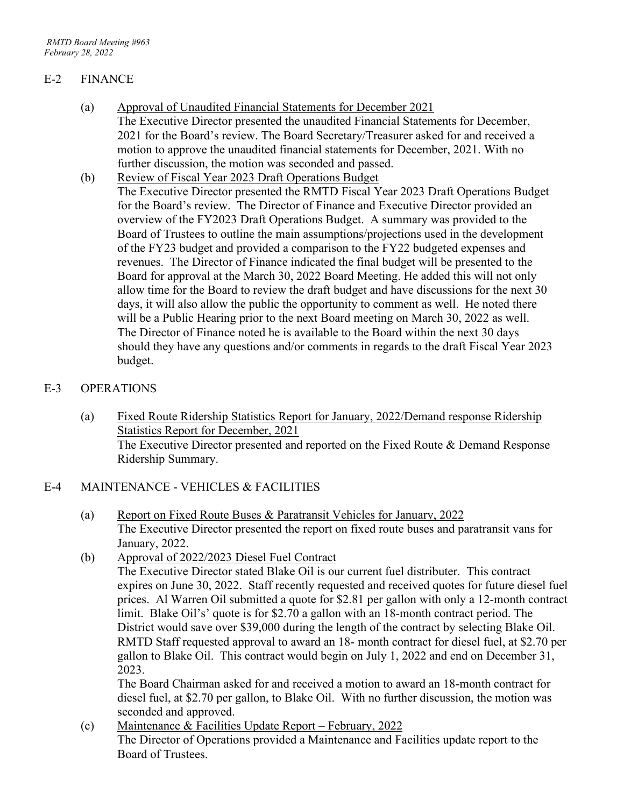#### E-2 FINANCE

- (a) Approval of Unaudited Financial Statements for December 2021 The Executive Director presented the unaudited Financial Statements for December, 2021 for the Board's review. The Board Secretary/Treasurer asked for and received a motion to approve the unaudited financial statements for December, 2021. With no further discussion, the motion was seconded and passed.
- (b) Review of Fiscal Year 2023 Draft Operations Budget The Executive Director presented the RMTD Fiscal Year 2023 Draft Operations Budget for the Board's review. The Director of Finance and Executive Director provided an overview of the FY2023 Draft Operations Budget. A summary was provided to the Board of Trustees to outline the main assumptions/projections used in the development of the FY23 budget and provided a comparison to the FY22 budgeted expenses and revenues. The Director of Finance indicated the final budget will be presented to the Board for approval at the March 30, 2022 Board Meeting. He added this will not only allow time for the Board to review the draft budget and have discussions for the next 30 days, it will also allow the public the opportunity to comment as well. He noted there will be a Public Hearing prior to the next Board meeting on March 30, 2022 as well. The Director of Finance noted he is available to the Board within the next 30 days should they have any questions and/or comments in regards to the draft Fiscal Year 2023 budget.

#### E-3 OPERATIONS

(a) Fixed Route Ridership Statistics Report for January, 2022/Demand response Ridership Statistics Report for December, 2021 The Executive Director presented and reported on the Fixed Route & Demand Response Ridership Summary.

#### E-4 MAINTENANCE - VEHICLES & FACILITIES

- (a) Report on Fixed Route Buses & Paratransit Vehicles for January, 2022 The Executive Director presented the report on fixed route buses and paratransit vans for January, 2022.
- (b) Approval of 2022/2023 Diesel Fuel Contract

The Executive Director stated Blake Oil is our current fuel distributer. This contract expires on June 30, 2022. Staff recently requested and received quotes for future diesel fuel prices. Al Warren Oil submitted a quote for \$2.81 per gallon with only a 12-month contract limit. Blake Oil's' quote is for \$2.70 a gallon with an 18-month contract period. The District would save over \$39,000 during the length of the contract by selecting Blake Oil. RMTD Staff requested approval to award an 18- month contract for diesel fuel, at \$2.70 per gallon to Blake Oil. This contract would begin on July 1, 2022 and end on December 31, 2023.

The Board Chairman asked for and received a motion to award an 18-month contract for diesel fuel, at \$2.70 per gallon, to Blake Oil. With no further discussion, the motion was seconded and approved.

(c) Maintenance & Facilities Update Report – February, 2022 The Director of Operations provided a Maintenance and Facilities update report to the Board of Trustees.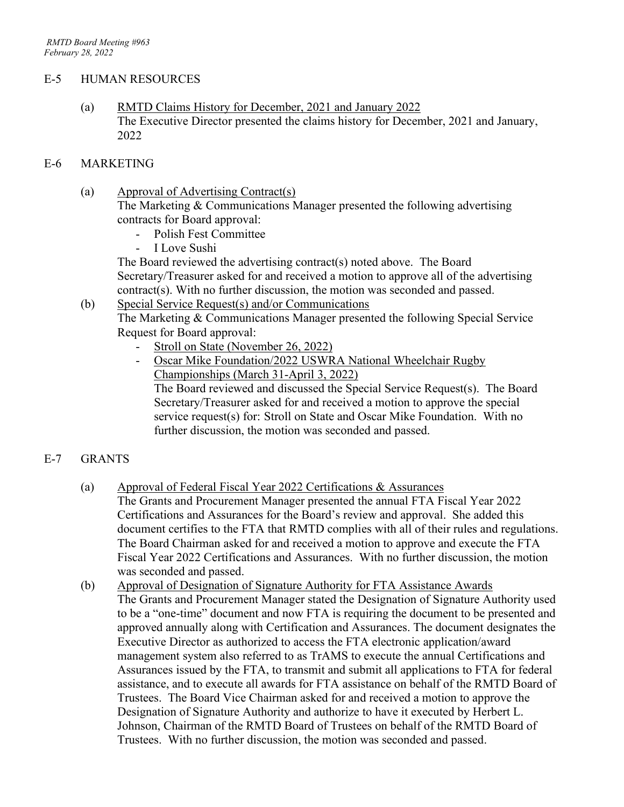#### E-5 HUMAN RESOURCES

(a) RMTD Claims History for December, 2021 and January 2022 The Executive Director presented the claims history for December, 2021 and January, 2022

#### E-6 MARKETING

- (a) Approval of Advertising Contract(s) The Marketing & Communications Manager presented the following advertising contracts for Board approval:
	- Polish Fest Committee
	- I Love Sushi

The Board reviewed the advertising contract(s) noted above. The Board Secretary/Treasurer asked for and received a motion to approve all of the advertising contract(s). With no further discussion, the motion was seconded and passed.

(b) Special Service Request(s) and/or Communications

The Marketing & Communications Manager presented the following Special Service Request for Board approval:

- Stroll on State (November 26, 2022)
- Oscar Mike Foundation/2022 USWRA National Wheelchair Rugby Championships (March 31-April 3, 2022)

The Board reviewed and discussed the Special Service Request(s). The Board Secretary/Treasurer asked for and received a motion to approve the special service request(s) for: Stroll on State and Oscar Mike Foundation. With no further discussion, the motion was seconded and passed.

#### E-7 GRANTS

- (a) Approval of Federal Fiscal Year 2022 Certifications & Assurances The Grants and Procurement Manager presented the annual FTA Fiscal Year 2022 Certifications and Assurances for the Board's review and approval. She added this document certifies to the FTA that RMTD complies with all of their rules and regulations. The Board Chairman asked for and received a motion to approve and execute the FTA Fiscal Year 2022 Certifications and Assurances. With no further discussion, the motion was seconded and passed.
- (b) Approval of Designation of Signature Authority for FTA Assistance Awards The Grants and Procurement Manager stated the Designation of Signature Authority used to be a "one-time" document and now FTA is requiring the document to be presented and approved annually along with Certification and Assurances. The document designates the Executive Director as authorized to access the FTA electronic application/award management system also referred to as TrAMS to execute the annual Certifications and Assurances issued by the FTA, to transmit and submit all applications to FTA for federal assistance, and to execute all awards for FTA assistance on behalf of the RMTD Board of Trustees. The Board Vice Chairman asked for and received a motion to approve the Designation of Signature Authority and authorize to have it executed by Herbert L. Johnson, Chairman of the RMTD Board of Trustees on behalf of the RMTD Board of Trustees. With no further discussion, the motion was seconded and passed.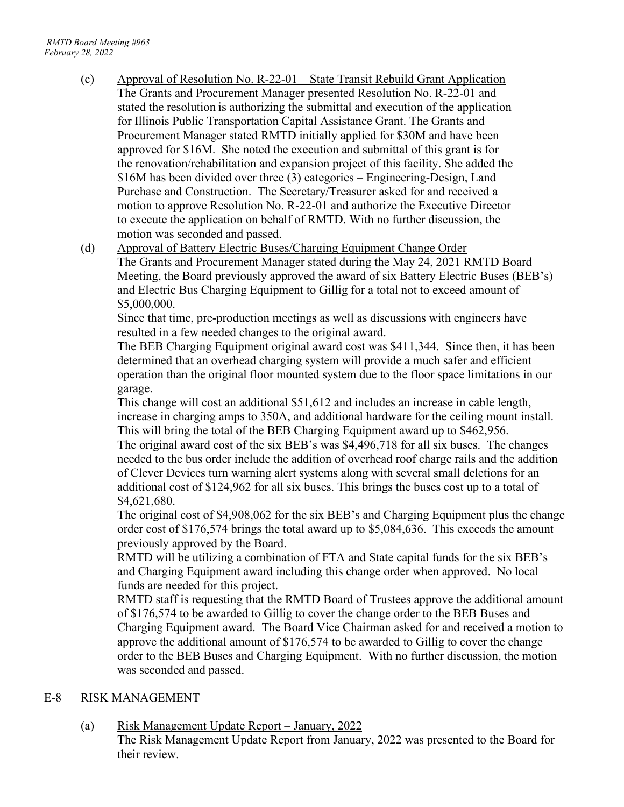- (c) Approval of Resolution No. R-22-01 State Transit Rebuild Grant Application The Grants and Procurement Manager presented Resolution No. R-22-01 and stated the resolution is authorizing the submittal and execution of the application for Illinois Public Transportation Capital Assistance Grant. The Grants and Procurement Manager stated RMTD initially applied for \$30M and have been approved for \$16M. She noted the execution and submittal of this grant is for the renovation/rehabilitation and expansion project of this facility. She added the \$16M has been divided over three (3) categories – Engineering-Design, Land Purchase and Construction. The Secretary/Treasurer asked for and received a motion to approve Resolution No. R-22-01 and authorize the Executive Director to execute the application on behalf of RMTD. With no further discussion, the motion was seconded and passed.
- (d) Approval of Battery Electric Buses/Charging Equipment Change Order The Grants and Procurement Manager stated during the May 24, 2021 RMTD Board Meeting, the Board previously approved the award of six Battery Electric Buses (BEB's) and Electric Bus Charging Equipment to Gillig for a total not to exceed amount of \$5,000,000.

Since that time, pre-production meetings as well as discussions with engineers have resulted in a few needed changes to the original award.

The BEB Charging Equipment original award cost was \$411,344. Since then, it has been determined that an overhead charging system will provide a much safer and efficient operation than the original floor mounted system due to the floor space limitations in our garage.

This change will cost an additional \$51,612 and includes an increase in cable length, increase in charging amps to 350A, and additional hardware for the ceiling mount install. This will bring the total of the BEB Charging Equipment award up to \$462,956.

The original award cost of the six BEB's was \$4,496,718 for all six buses. The changes needed to the bus order include the addition of overhead roof charge rails and the addition of Clever Devices turn warning alert systems along with several small deletions for an additional cost of \$124,962 for all six buses. This brings the buses cost up to a total of \$4,621,680.

The original cost of \$4,908,062 for the six BEB's and Charging Equipment plus the change order cost of \$176,574 brings the total award up to \$5,084,636. This exceeds the amount previously approved by the Board.

RMTD will be utilizing a combination of FTA and State capital funds for the six BEB's and Charging Equipment award including this change order when approved. No local funds are needed for this project.

RMTD staff is requesting that the RMTD Board of Trustees approve the additional amount of \$176,574 to be awarded to Gillig to cover the change order to the BEB Buses and Charging Equipment award. The Board Vice Chairman asked for and received a motion to approve the additional amount of \$176,574 to be awarded to Gillig to cover the change order to the BEB Buses and Charging Equipment. With no further discussion, the motion was seconded and passed.

#### E-8 RISK MANAGEMENT

(a) Risk Management Update Report – January, 2022

The Risk Management Update Report from January, 2022 was presented to the Board for their review.